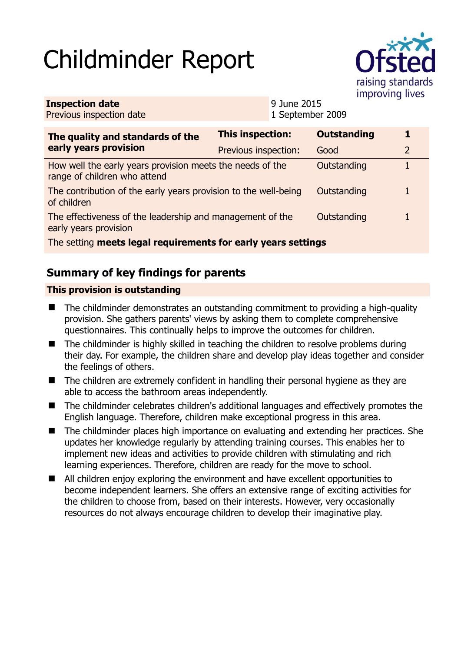# Childminder Report



| <b>Inspection date</b><br>Previous inspection date                                        | 9 June 2015<br>1 September 2009 |                    |   |
|-------------------------------------------------------------------------------------------|---------------------------------|--------------------|---|
| The quality and standards of the<br>early years provision                                 | <b>This inspection:</b>         | <b>Outstanding</b> | 1 |
|                                                                                           | Previous inspection:            | Good               | 2 |
| How well the early years provision meets the needs of the<br>range of children who attend |                                 | Outstanding        | 1 |
| The contribution of the early years provision to the well-being<br>of children            |                                 | Outstanding        |   |
| The effectiveness of the leadership and management of the<br>early years provision        |                                 | Outstanding        |   |
| The setting meets legal requirements for early years settings                             |                                 |                    |   |

## **Summary of key findings for parents**

#### **This provision is outstanding**

- The childminder demonstrates an outstanding commitment to providing a high-quality provision. She gathers parents' views by asking them to complete comprehensive questionnaires. This continually helps to improve the outcomes for children.
- The childminder is highly skilled in teaching the children to resolve problems during their day. For example, the children share and develop play ideas together and consider the feelings of others.
- The children are extremely confident in handling their personal hygiene as they are able to access the bathroom areas independently.
- The childminder celebrates children's additional languages and effectively promotes the English language. Therefore, children make exceptional progress in this area.
- The childminder places high importance on evaluating and extending her practices. She updates her knowledge regularly by attending training courses. This enables her to implement new ideas and activities to provide children with stimulating and rich learning experiences. Therefore, children are ready for the move to school.
- All children enjoy exploring the environment and have excellent opportunities to become independent learners. She offers an extensive range of exciting activities for the children to choose from, based on their interests. However, very occasionally resources do not always encourage children to develop their imaginative play.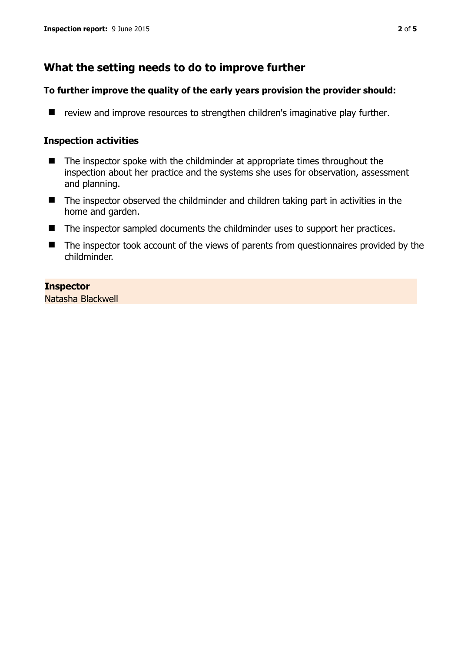## **What the setting needs to do to improve further**

#### **To further improve the quality of the early years provision the provider should:**

 $\blacksquare$  review and improve resources to strengthen children's imaginative play further.

#### **Inspection activities**

- The inspector spoke with the childminder at appropriate times throughout the inspection about her practice and the systems she uses for observation, assessment and planning.
- The inspector observed the childminder and children taking part in activities in the home and garden.
- The inspector sampled documents the childminder uses to support her practices.
- The inspector took account of the views of parents from questionnaires provided by the childminder.

#### **Inspector**

Natasha Blackwell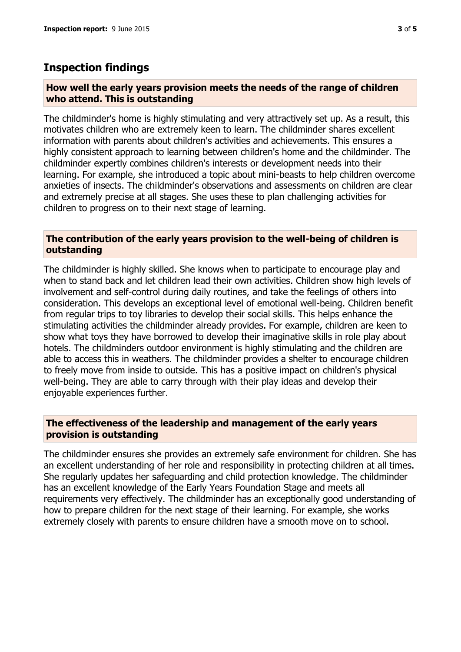## **Inspection findings**

#### **How well the early years provision meets the needs of the range of children who attend. This is outstanding**

The childminder's home is highly stimulating and very attractively set up. As a result, this motivates children who are extremely keen to learn. The childminder shares excellent information with parents about children's activities and achievements. This ensures a highly consistent approach to learning between children's home and the childminder. The childminder expertly combines children's interests or development needs into their learning. For example, she introduced a topic about mini-beasts to help children overcome anxieties of insects. The childminder's observations and assessments on children are clear and extremely precise at all stages. She uses these to plan challenging activities for children to progress on to their next stage of learning.

#### **The contribution of the early years provision to the well-being of children is outstanding**

The childminder is highly skilled. She knows when to participate to encourage play and when to stand back and let children lead their own activities. Children show high levels of involvement and self-control during daily routines, and take the feelings of others into consideration. This develops an exceptional level of emotional well-being. Children benefit from regular trips to toy libraries to develop their social skills. This helps enhance the stimulating activities the childminder already provides. For example, children are keen to show what toys they have borrowed to develop their imaginative skills in role play about hotels. The childminders outdoor environment is highly stimulating and the children are able to access this in weathers. The childminder provides a shelter to encourage children to freely move from inside to outside. This has a positive impact on children's physical well-being. They are able to carry through with their play ideas and develop their enjoyable experiences further.

#### **The effectiveness of the leadership and management of the early years provision is outstanding**

The childminder ensures she provides an extremely safe environment for children. She has an excellent understanding of her role and responsibility in protecting children at all times. She regularly updates her safeguarding and child protection knowledge. The childminder has an excellent knowledge of the Early Years Foundation Stage and meets all requirements very effectively. The childminder has an exceptionally good understanding of how to prepare children for the next stage of their learning. For example, she works extremely closely with parents to ensure children have a smooth move on to school.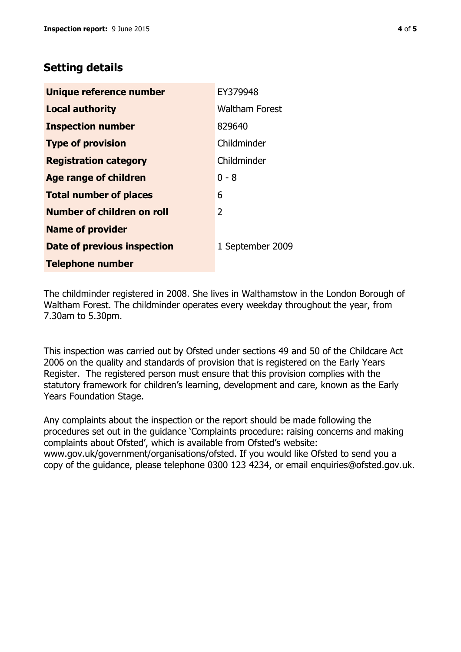## **Setting details**

| Unique reference number       | EY379948              |
|-------------------------------|-----------------------|
| <b>Local authority</b>        | <b>Waltham Forest</b> |
| <b>Inspection number</b>      | 829640                |
| <b>Type of provision</b>      | Childminder           |
| <b>Registration category</b>  | Childminder           |
| <b>Age range of children</b>  | $0 - 8$               |
| <b>Total number of places</b> | 6                     |
| Number of children on roll    | $\overline{2}$        |
| <b>Name of provider</b>       |                       |
| Date of previous inspection   | 1 September 2009      |
| <b>Telephone number</b>       |                       |

The childminder registered in 2008. She lives in Walthamstow in the London Borough of Waltham Forest. The childminder operates every weekday throughout the year, from 7.30am to 5.30pm.

This inspection was carried out by Ofsted under sections 49 and 50 of the Childcare Act 2006 on the quality and standards of provision that is registered on the Early Years Register. The registered person must ensure that this provision complies with the statutory framework for children's learning, development and care, known as the Early Years Foundation Stage.

Any complaints about the inspection or the report should be made following the procedures set out in the guidance 'Complaints procedure: raising concerns and making complaints about Ofsted', which is available from Ofsted's website: www.gov.uk/government/organisations/ofsted. If you would like Ofsted to send you a copy of the guidance, please telephone 0300 123 4234, or email enquiries@ofsted.gov.uk.